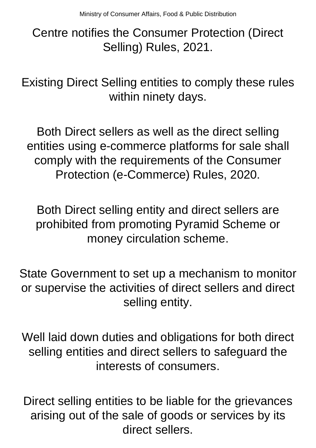Centre notifies the Consumer Protection (Direct Selling) Rules, 2021.

Existing Direct Selling entities to comply these rules within ninety days.

Both Direct sellers as well as the direct selling entities using e-commerce platforms for sale shall comply with the requirements of the Consumer Protection (e-Commerce) Rules, 2020.

Both Direct selling entity and direct sellers are prohibited from promoting Pyramid Scheme or money circulation scheme.

State Government to set up a mechanism to monitor or supervise the activities of direct sellers and direct selling entity.

Well laid down duties and obligations for both direct selling entities and direct sellers to safeguard the interests of consumers.

Direct selling entities to be liable for the grievances arising out of the sale of goods or services by its direct sellers.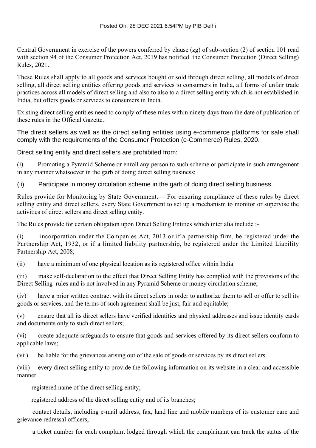Central Government in exercise of the powers conferred by clause (zg) of sub-section (2) of section 101 read with section 94 of the Consumer Protection Act, 2019 has notified the Consumer Protection (Direct Selling) Rules, 2021.

These Rules shall apply to all goods and services bought or sold through direct selling, all models of direct selling, all direct selling entities offering goods and services to consumers in India, all forms of unfair trade practices across all models of direct selling and also to also to a direct selling entity which is not established in India, but offers goods or services to consumers in India.

Existing direct selling entities need to comply of these rules within ninety days from the date of publication of these rules in the Official Gazette.

The direct sellers as well as the direct selling entities using e-commerce platforms for sale shall comply with the requirements of the Consumer Protection (e-Commerce) Rules, 2020.

Direct selling entity and direct sellers are prohibited from:

(i) Promoting a Pyramid Scheme or enroll any person to such scheme or participate in such arrangement in any manner whatsoever in the garb of doing direct selling business;

(ii) Participate in money circulation scheme in the garb of doing direct selling business.

Rules provide for Monitoring by State Government.— For ensuring compliance of these rules by direct selling entity and direct sellers, every State Government to set up a mechanism to monitor or supervise the activities of direct sellers and direct selling entity.

The Rules provide for certain obligation upon Direct Selling Entities which inter alia include :-

(i) incorporation under the Companies Act, 2013 or if a partnership firm, be registered under the Partnership Act, 1932, or if a limited liability partnership, be registered under the Limited Liability Partnership Act, 2008;

(ii) have a minimum of one physical location as its registered office within India

(iii) make self-declaration to the effect that Direct Selling Entity has complied with the provisions of the Direct Selling rules and is not involved in any Pyramid Scheme or money circulation scheme;

(iv) have a prior written contract with its direct sellers in order to authorize them to sell or offer to sell its goods or services, and the terms of such agreement shall be just, fair and equitable;

(v) ensure that all its direct sellers have verified identities and physical addresses and issue identity cards and documents only to such direct sellers;

(vi) create adequate safeguards to ensure that goods and services offered by its direct sellers conform to applicable laws;

(vii) be liable for the grievances arising out of the sale of goods or services by its direct sellers.

(viii) every direct selling entity to provide the following information on its website in a clear and accessible manner

registered name of the direct selling entity;

registered address of the direct selling entity and of its branches;

 contact details, including e-mail address, fax, land line and mobile numbers of its customer care and grievance redressal officers;

a ticket number for each complaint lodged through which the complainant can track the status of the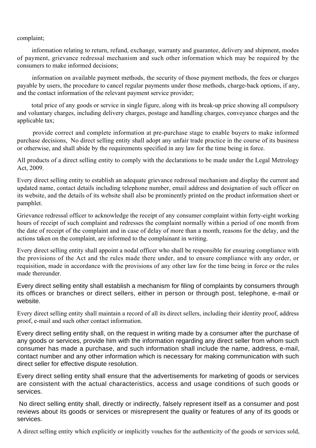complaint;

 information relating to return, refund, exchange, warranty and guarantee, delivery and shipment, modes of payment, grievance redressal mechanism and such other information which may be required by the consumers to make informed decisions;

 information on available payment methods, the security of those payment methods, the fees or charges payable by users, the procedure to cancel regular payments under those methods, charge-back options, if any, and the contact information of the relevant payment service provider;

 total price of any goods or service in single figure, along with its break-up price showing all compulsory and voluntary charges, including delivery charges, postage and handling charges, conveyance charges and the applicable tax;

 provide correct and complete information at pre-purchase stage to enable buyers to make informed purchase decisions, No direct selling entity shall adopt any unfair trade practice in the course of its business or otherwise, and shall abide by the requirements specified in any law for the time being in force.

All products of a direct selling entity to comply with the declarations to be made under the Legal Metrology Act, 2009.

Every direct selling entity to establish an adequate grievance redressal mechanism and display the current and updated name, contact details including telephone number, email address and designation of such officer on its website, and the details of its website shall also be prominently printed on the product information sheet or pamphlet.

Grievance redressal officer to acknowledge the receipt of any consumer complaint within forty-eight working hours of receipt of such complaint and redresses the complaint normally within a period of one month from the date of receipt of the complaint and in case of delay of more than a month, reasons for the delay, and the actions taken on the complaint, are informed to the complainant in writing.

Every direct selling entity shall appoint a nodal officer who shall be responsible for ensuring compliance with the provisions of the Act and the rules made there under, and to ensure compliance with any order, or requisition, made in accordance with the provisions of any other law for the time being in force or the rules made thereunder.

Every direct selling entity shall establish a mechanism for filing of complaints by consumers through its offices or branches or direct sellers, either in person or through post, telephone, e-mail or website.

Every direct selling entity shall maintain a record of all its direct sellers, including their identity proof, address proof, e-mail and such other contact information.

Every direct selling entity shall, on the request in writing made by a consumer after the purchase of any goods or services, provide him with the information regarding any direct seller from whom such consumer has made a purchase, and such information shall include the name, address, e-mail, contact number and any other information which is necessary for making communication with such direct seller for effective dispute resolution.

Every direct selling entity shall ensure that the advertisements for marketing of goods or services are consistent with the actual characteristics, access and usage conditions of such goods or services.

 No direct selling entity shall, directly or indirectly, falsely represent itself as a consumer and post reviews about its goods or services or misrepresent the quality or features of any of its goods or services.

A direct selling entity which explicitly or implicitly vouches for the authenticity of the goods or services sold,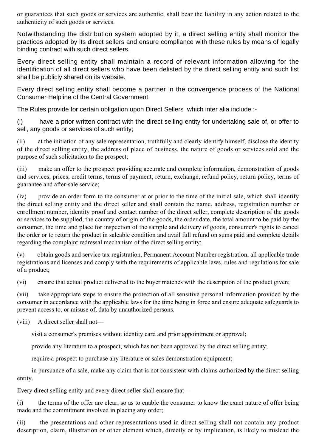or guarantees that such goods or services are authentic, shall bear the liability in any action related to the authenticity of such goods or services.

Notwithstanding the distribution system adopted by it, a direct selling entity shall monitor the practices adopted by its direct sellers and ensure compliance with these rules by means of legally binding contract with such direct sellers.

Every direct selling entity shall maintain a record of relevant information allowing for the identification of all direct sellers who have been delisted by the direct selling entity and such list shall be publicly shared on its website.

Every direct selling entity shall become a partner in the convergence process of the National Consumer Helpline of the Central Government.

The Rules provide for certain obligation upon Direct Sellers which inter alia include :-

(i) have a prior written contract with the direct selling entity for undertaking sale of, or offer to sell, any goods or services of such entity;

(ii) at the initiation of any sale representation, truthfully and clearly identify himself, disclose the identity of the direct selling entity, the address of place of business, the nature of goods or services sold and the purpose of such solicitation to the prospect;

(iii) make an offer to the prospect providing accurate and complete information, demonstration of goods and services, prices, credit terms, terms of payment, return, exchange, refund policy, return policy, terms of guarantee and after-sale service;

(iv) provide an order form to the consumer at or prior to the time of the initial sale, which shall identify the direct selling entity and the direct seller and shall contain the name, address, registration number or enrollment number, identity proof and contact number of the direct seller, complete description of the goods or services to be supplied, the country of origin of the goods, the order date, the total amount to be paid by the consumer, the time and place for inspection of the sample and delivery of goods, consumer's rights to cancel the order or to return the product in saleable condition and avail full refund on sums paid and complete details regarding the complaint redressal mechanism of the direct selling entity;

(v) obtain goods and service tax registration, Permanent Account Number registration, all applicable trade registrations and licenses and comply with the requirements of applicable laws, rules and regulations for sale of a product;

(vi) ensure that actual product delivered to the buyer matches with the description of the product given;

(vii) take appropriate steps to ensure the protection of all sensitive personal information provided by the consumer in accordance with the applicable laws for the time being in force and ensure adequate safeguards to prevent access to, or misuse of, data by unauthorized persons.

(viii) A direct seller shall not––

visit a consumer's premises without identity card and prior appointment or approval;

provide any literature to a prospect, which has not been approved by the direct selling entity;

require a prospect to purchase any literature or sales demonstration equipment;

 in pursuance of a sale, make any claim that is not consistent with claims authorized by the direct selling entity.

Every direct selling entity and every direct seller shall ensure that—

(i) the terms of the offer are clear, so as to enable the consumer to know the exact nature of offer being made and the commitment involved in placing any order;.

(ii) the presentations and other representations used in direct selling shall not contain any product description, claim, illustration or other element which, directly or by implication, is likely to mislead the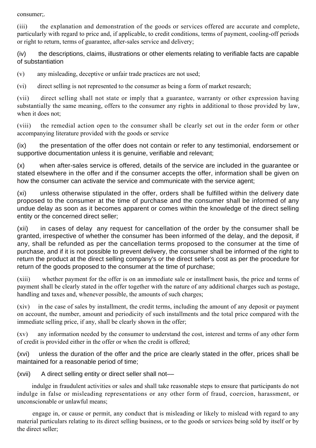consumer;.

(iii) the explanation and demonstration of the goods or services offered are accurate and complete, particularly with regard to price and, if applicable, to credit conditions, terms of payment, cooling-off periods or right to return, terms of guarantee, after-sales service and delivery;

(iv) the descriptions, claims, illustrations or other elements relating to verifiable facts are capable of substantiation

(v) any misleading, deceptive or unfair trade practices are not used;

(vi) direct selling is not represented to the consumer as being a form of market research;

(vii) direct selling shall not state or imply that a guarantee, warranty or other expression having substantially the same meaning, offers to the consumer any rights in additional to those provided by law, when it does not;

(viii) the remedial action open to the consumer shall be clearly set out in the order form or other accompanying literature provided with the goods or service

(ix) the presentation of the offer does not contain or refer to any testimonial, endorsement or supportive documentation unless it is genuine, verifiable and relevant;

(x) when after-sales service is offered, details of the service are included in the guarantee or stated elsewhere in the offer and if the consumer accepts the offer, information shall be given on how the consumer can activate the service and communicate with the service agent;

(xi) unless otherwise stipulated in the offer, orders shall be fulfilled within the delivery date proposed to the consumer at the time of purchase and the consumer shall be informed of any undue delay as soon as it becomes apparent or comes within the knowledge of the direct selling entity or the concerned direct seller;

(xii) in cases of delay any request for cancellation of the order by the consumer shall be granted, irrespective of whether the consumer has been informed of the delay, and the deposit, if any, shall be refunded as per the cancellation terms proposed to the consumer at the time of purchase, and if it is not possible to prevent delivery, the consumer shall be informed of the right to return the product at the direct selling company's or the direct seller's cost as per the procedure for return of the goods proposed to the consumer at the time of purchase;

(xiii) whether payment for the offer is on an immediate sale or installment basis, the price and terms of payment shall be clearly stated in the offer together with the nature of any additional charges such as postage, handling and taxes and, whenever possible, the amounts of such charges;

(xiv) in the case of sales by installment, the credit terms, including the amount of any deposit or payment on account, the number, amount and periodicity of such installments and the total price compared with the immediate selling price, if any, shall be clearly shown in the offer;

(xv) any information needed by the consumer to understand the cost, interest and terms of any other form of credit is provided either in the offer or when the credit is offered;

(xvi) unless the duration of the offer and the price are clearly stated in the offer, prices shall be maintained for a reasonable period of time;

(xvii) A direct selling entity or direct seller shall not-

 indulge in fraudulent activities or sales and shall take reasonable steps to ensure that participants do not indulge in false or misleading representations or any other form of fraud, coercion, harassment, or unconscionable or unlawful means;

 engage in, or cause or permit, any conduct that is misleading or likely to mislead with regard to any material particulars relating to its direct selling business, or to the goods or services being sold by itself or by the direct seller;